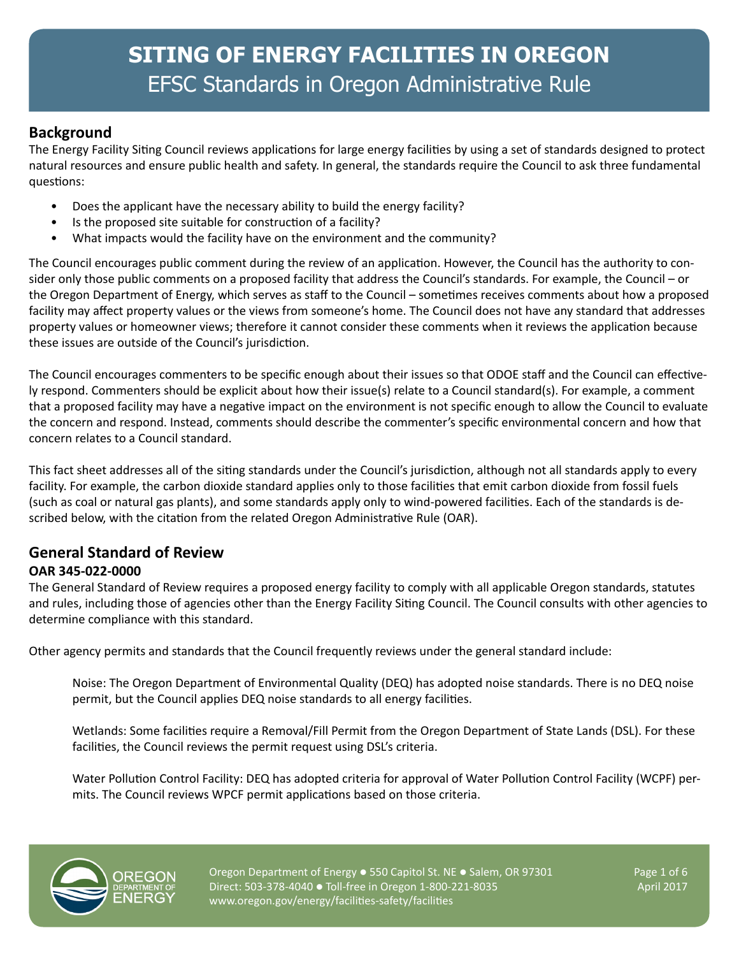## **Background**

The Energy Facility Siting Council reviews applications for large energy facilities by using a set of standards designed to protect natural resources and ensure public health and safety. In general, the standards require the Council to ask three fundamental questions:

- Does the applicant have the necessary ability to build the energy facility?
- Is the proposed site suitable for construction of a facility?
- What impacts would the facility have on the environment and the community?

The Council encourages public comment during the review of an application. However, the Council has the authority to consider only those public comments on a proposed facility that address the Council's standards. For example, the Council – or the Oregon Department of Energy, which serves as staff to the Council – sometimes receives comments about how a proposed facility may affect property values or the views from someone's home. The Council does not have any standard that addresses property values or homeowner views; therefore it cannot consider these comments when it reviews the application because these issues are outside of the Council's jurisdiction.

The Council encourages commenters to be specific enough about their issues so that ODOE staff and the Council can effectively respond. Commenters should be explicit about how their issue(s) relate to a Council standard(s). For example, a comment that a proposed facility may have a negative impact on the environment is not specific enough to allow the Council to evaluate the concern and respond. Instead, comments should describe the commenter's specific environmental concern and how that concern relates to a Council standard.

This fact sheet addresses all of the siting standards under the Council's jurisdiction, although not all standards apply to every facility. For example, the carbon dioxide standard applies only to those facilities that emit carbon dioxide from fossil fuels (such as coal or natural gas plants), and some standards apply only to wind-powered facilities. Each of the standards is described below, with the citation from the related Oregon Administrative Rule (OAR).

#### **General Standard of Review OAR 345-022-0000**

The General Standard of Review requires a proposed energy facility to comply with all applicable Oregon standards, statutes and rules, including those of agencies other than the Energy Facility Siting Council. The Council consults with other agencies to determine compliance with this standard.

Other agency permits and standards that the Council frequently reviews under the general standard include:

Noise: The Oregon Department of Environmental Quality (DEQ) has adopted noise standards. There is no DEQ noise permit, but the Council applies DEQ noise standards to all energy facilities.

Wetlands: Some facilities require a Removal/Fill Permit from the Oregon Department of State Lands (DSL). For these facilities, the Council reviews the permit request using DSL's criteria.

Water Pollution Control Facility: DEQ has adopted criteria for approval of Water Pollution Control Facility (WCPF) permits. The Council reviews WPCF permit applications based on those criteria.



Oregon Department of Energy  $\bullet$  550 Capitol St. NE  $\bullet$  Salem, OR 97301 Page 1 of 6 Direct: 503-378-4040  $\bullet$  Toll-free in Oregon 1-800-221-8035 April 2017 www.oregon.gov/energy/facilities-safety/facilities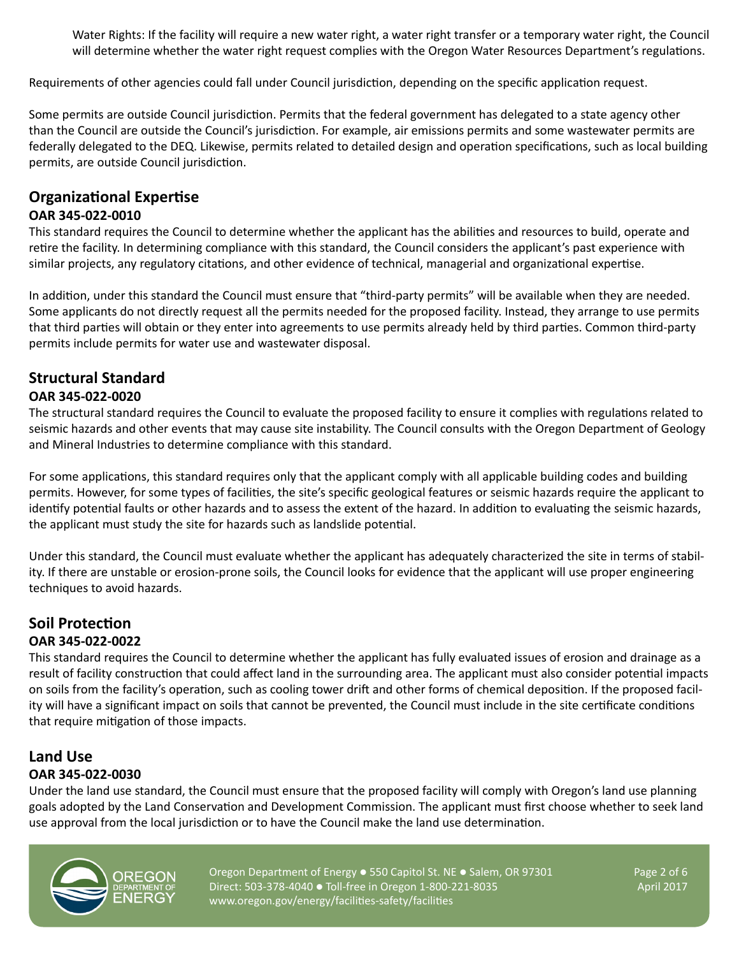Water Rights: If the facility will require a new water right, a water right transfer or a temporary water right, the Council will determine whether the water right request complies with the Oregon Water Resources Department's regulations.

Requirements of other agencies could fall under Council jurisdiction, depending on the specific application request.

Some permits are outside Council jurisdiction. Permits that the federal government has delegated to a state agency other than the Council are outside the Council's jurisdiction. For example, air emissions permits and some wastewater permits are federally delegated to the DEQ. Likewise, permits related to detailed design and operation specifications, such as local building permits, are outside Council jurisdiction.

## **Organizational Expertise**

#### **OAR 345-022-0010**

This standard requires the Council to determine whether the applicant has the abilities and resources to build, operate and retire the facility. In determining compliance with this standard, the Council considers the applicant's past experience with similar projects, any regulatory citations, and other evidence of technical, managerial and organizational expertise.

In addition, under this standard the Council must ensure that "third-party permits" will be available when they are needed. Some applicants do not directly request all the permits needed for the proposed facility. Instead, they arrange to use permits that third parties will obtain or they enter into agreements to use permits already held by third parties. Common third-party permits include permits for water use and wastewater disposal.

#### **Structural Standard OAR 345-022-0020**

The structural standard requires the Council to evaluate the proposed facility to ensure it complies with regulations related to seismic hazards and other events that may cause site instability. The Council consults with the Oregon Department of Geology and Mineral Industries to determine compliance with this standard.

For some applications, this standard requires only that the applicant comply with all applicable building codes and building permits. However, for some types of facilities, the site's specific geological features or seismic hazards require the applicant to identify potential faults or other hazards and to assess the extent of the hazard. In addition to evaluating the seismic hazards, the applicant must study the site for hazards such as landslide potential.

Under this standard, the Council must evaluate whether the applicant has adequately characterized the site in terms of stability. If there are unstable or erosion-prone soils, the Council looks for evidence that the applicant will use proper engineering techniques to avoid hazards.

## **Soil Protection**

#### **OAR 345-022-0022**

This standard requires the Council to determine whether the applicant has fully evaluated issues of erosion and drainage as a result of facility construction that could affect land in the surrounding area. The applicant must also consider potential impacts on soils from the facility's operation, such as cooling tower drift and other forms of chemical deposition. If the proposed facility will have a significant impact on soils that cannot be prevented, the Council must include in the site certificate conditions that require mitigation of those impacts.

#### **Land Use OAR 345-022-0030**

Under the land use standard, the Council must ensure that the proposed facility will comply with Oregon's land use planning goals adopted by the Land Conservation and Development Commission. The applicant must first choose whether to seek land use approval from the local jurisdiction or to have the Council make the land use determination.



Oregon Department of Energy  $\bullet$  550 Capitol St. NE  $\bullet$  Salem, OR 97301 Page 2 of 6 Direct: 503-378-4040 • Toll-free in Oregon 1-800-221-8035 April 2017 www.oregon.gov/energy/facilities-safety/facilities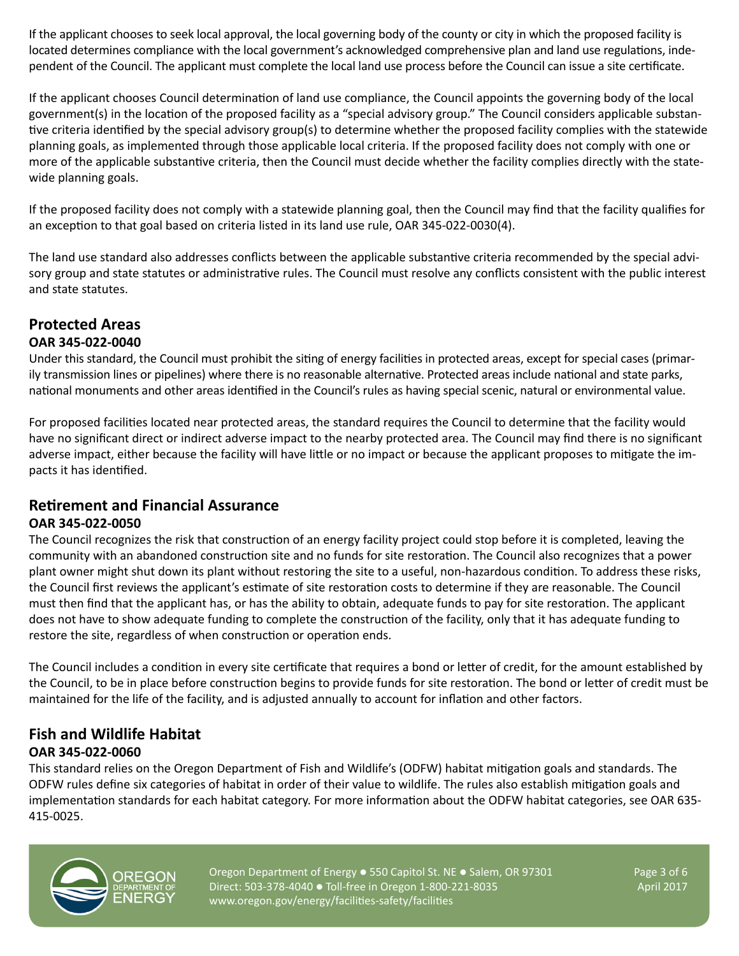If the applicant chooses to seek local approval, the local governing body of the county or city in which the proposed facility is located determines compliance with the local government's acknowledged comprehensive plan and land use regulations, independent of the Council. The applicant must complete the local land use process before the Council can issue a site certificate.

If the applicant chooses Council determination of land use compliance, the Council appoints the governing body of the local government(s) in the location of the proposed facility as a "special advisory group." The Council considers applicable substantive criteria identified by the special advisory group(s) to determine whether the proposed facility complies with the statewide planning goals, as implemented through those applicable local criteria. If the proposed facility does not comply with one or more of the applicable substantive criteria, then the Council must decide whether the facility complies directly with the statewide planning goals.

If the proposed facility does not comply with a statewide planning goal, then the Council may find that the facility qualifies for an exception to that goal based on criteria listed in its land use rule, OAR 345-022-0030(4).

The land use standard also addresses conflicts between the applicable substantive criteria recommended by the special advisory group and state statutes or administrative rules. The Council must resolve any conflicts consistent with the public interest and state statutes.

## **Protected Areas**

#### **OAR 345-022-0040**

Under this standard, the Council must prohibit the siting of energy facilities in protected areas, except for special cases (primarily transmission lines or pipelines) where there is no reasonable alternative. Protected areas include national and state parks, national monuments and other areas identified in the Council's rules as having special scenic, natural or environmental value.

For proposed facilities located near protected areas, the standard requires the Council to determine that the facility would have no significant direct or indirect adverse impact to the nearby protected area. The Council may find there is no significant adverse impact, either because the facility will have little or no impact or because the applicant proposes to mitigate the impacts it has identified.

## **Retirement and Financial Assurance**

#### **OAR 345-022-0050**

The Council recognizes the risk that construction of an energy facility project could stop before it is completed, leaving the community with an abandoned construction site and no funds for site restoration. The Council also recognizes that a power plant owner might shut down its plant without restoring the site to a useful, non-hazardous condition. To address these risks, the Council first reviews the applicant's estimate of site restoration costs to determine if they are reasonable. The Council must then find that the applicant has, or has the ability to obtain, adequate funds to pay for site restoration. The applicant does not have to show adequate funding to complete the construction of the facility, only that it has adequate funding to restore the site, regardless of when construction or operation ends.

The Council includes a condition in every site certificate that requires a bond or letter of credit, for the amount established by the Council, to be in place before construction begins to provide funds for site restoration. The bond or letter of credit must be maintained for the life of the facility, and is adjusted annually to account for inflation and other factors.

## **Fish and Wildlife Habitat OAR 345-022-0060**

This standard relies on the Oregon Department of Fish and Wildlife's (ODFW) habitat mitigation goals and standards. The ODFW rules define six categories of habitat in order of their value to wildlife. The rules also establish mitigation goals and implementation standards for each habitat category. For more information about the ODFW habitat categories, see OAR 635- 415-0025.



Oregon Department of Energy  $\bullet$  550 Capitol St. NE  $\bullet$  Salem, OR 97301 Page 3 of 6 Direct: 503-378-4040 • Toll-free in Oregon 1-800-221-8035 April 2017 www.oregon.gov/energy/facilities-safety/facilities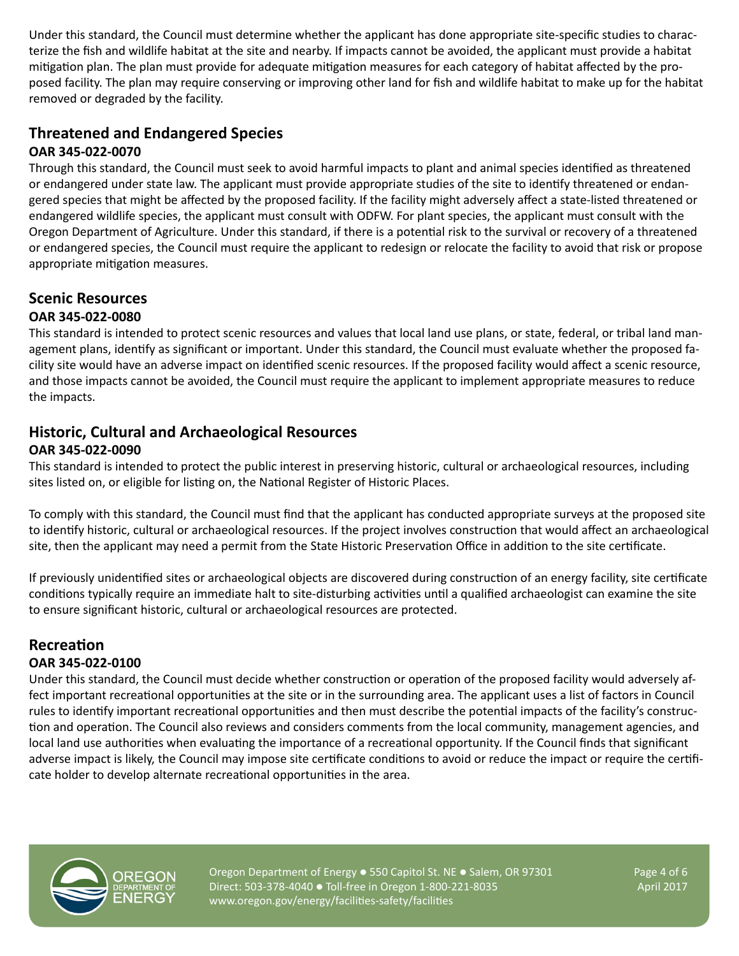Under this standard, the Council must determine whether the applicant has done appropriate site-specific studies to characterize the fish and wildlife habitat at the site and nearby. If impacts cannot be avoided, the applicant must provide a habitat mitigation plan. The plan must provide for adequate mitigation measures for each category of habitat affected by the proposed facility. The plan may require conserving or improving other land for fish and wildlife habitat to make up for the habitat removed or degraded by the facility.

#### **Threatened and Endangered Species OAR 345-022-0070**

Through this standard, the Council must seek to avoid harmful impacts to plant and animal species identified as threatened or endangered under state law. The applicant must provide appropriate studies of the site to identify threatened or endangered species that might be affected by the proposed facility. If the facility might adversely affect a state-listed threatened or endangered wildlife species, the applicant must consult with ODFW. For plant species, the applicant must consult with the Oregon Department of Agriculture. Under this standard, if there is a potential risk to the survival or recovery of a threatened or endangered species, the Council must require the applicant to redesign or relocate the facility to avoid that risk or propose appropriate mitigation measures.

#### **Scenic Resources OAR 345-022-0080**

This standard is intended to protect scenic resources and values that local land use plans, or state, federal, or tribal land management plans, identify as significant or important. Under this standard, the Council must evaluate whether the proposed facility site would have an adverse impact on identified scenic resources. If the proposed facility would affect a scenic resource, and those impacts cannot be avoided, the Council must require the applicant to implement appropriate measures to reduce the impacts.

## **Historic, Cultural and Archaeological Resources OAR 345-022-0090**

This standard is intended to protect the public interest in preserving historic, cultural or archaeological resources, including sites listed on, or eligible for listing on, the National Register of Historic Places.

To comply with this standard, the Council must find that the applicant has conducted appropriate surveys at the proposed site to identify historic, cultural or archaeological resources. If the project involves construction that would affect an archaeological site, then the applicant may need a permit from the State Historic Preservation Office in addition to the site certificate.

If previously unidentified sites or archaeological objects are discovered during construction of an energy facility, site certificate conditions typically require an immediate halt to site-disturbing activities until a qualified archaeologist can examine the site to ensure significant historic, cultural or archaeological resources are protected.

# **Recreation**

## **OAR 345-022-0100**

Under this standard, the Council must decide whether construction or operation of the proposed facility would adversely affect important recreational opportunities at the site or in the surrounding area. The applicant uses a list of factors in Council rules to identify important recreational opportunities and then must describe the potential impacts of the facility's construction and operation. The Council also reviews and considers comments from the local community, management agencies, and local land use authorities when evaluating the importance of a recreational opportunity. If the Council finds that significant adverse impact is likely, the Council may impose site certificate conditions to avoid or reduce the impact or require the certificate holder to develop alternate recreational opportunities in the area.



Oregon Department of Energy  $\bullet$  550 Capitol St. NE  $\bullet$  Salem, OR 97301 Page 4 of 6 Direct: 503-378-4040 • Toll-free in Oregon 1-800-221-8035 April 2017 www.oregon.gov/energy/facilities-safety/facilities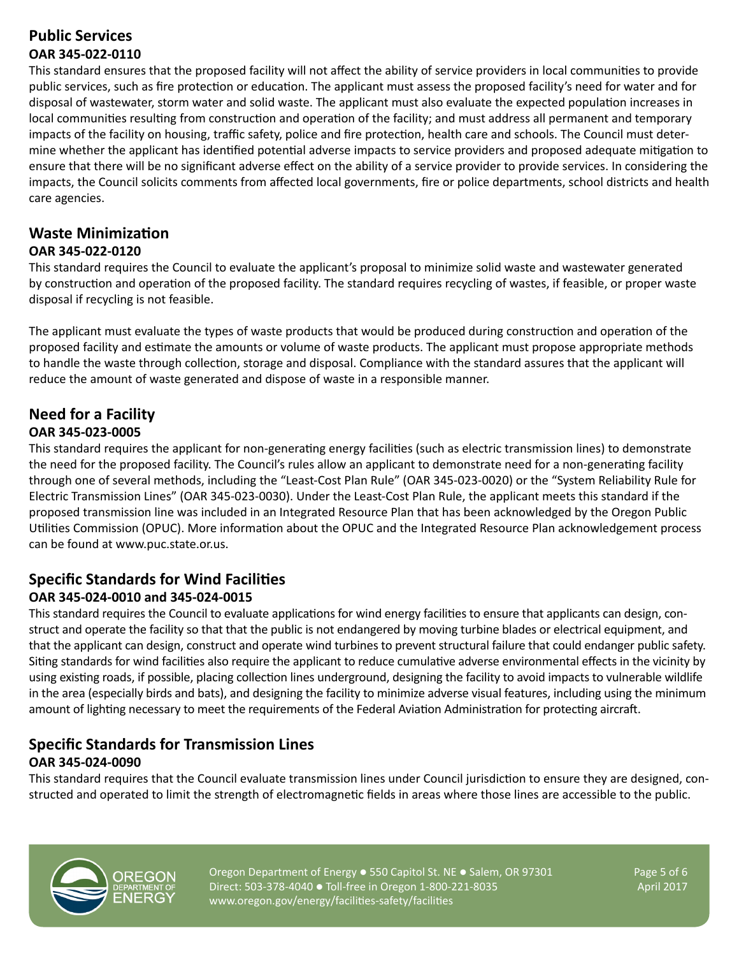## **Public Services OAR 345-022-0110**

This standard ensures that the proposed facility will not affect the ability of service providers in local communities to provide public services, such as fire protection or education. The applicant must assess the proposed facility's need for water and for disposal of wastewater, storm water and solid waste. The applicant must also evaluate the expected population increases in local communities resulting from construction and operation of the facility; and must address all permanent and temporary impacts of the facility on housing, traffic safety, police and fire protection, health care and schools. The Council must determine whether the applicant has identified potential adverse impacts to service providers and proposed adequate mitigation to ensure that there will be no significant adverse effect on the ability of a service provider to provide services. In considering the impacts, the Council solicits comments from affected local governments, fire or police departments, school districts and health care agencies.

## **Waste Minimization**

#### **OAR 345-022-0120**

This standard requires the Council to evaluate the applicant's proposal to minimize solid waste and wastewater generated by construction and operation of the proposed facility. The standard requires recycling of wastes, if feasible, or proper waste disposal if recycling is not feasible.

The applicant must evaluate the types of waste products that would be produced during construction and operation of the proposed facility and estimate the amounts or volume of waste products. The applicant must propose appropriate methods to handle the waste through collection, storage and disposal. Compliance with the standard assures that the applicant will reduce the amount of waste generated and dispose of waste in a responsible manner.

## **Need for a Facility OAR 345-023-0005**

This standard requires the applicant for non-generating energy facilities (such as electric transmission lines) to demonstrate the need for the proposed facility. The Council's rules allow an applicant to demonstrate need for a non-generating facility through one of several methods, including the "Least-Cost Plan Rule" (OAR 345-023-0020) or the "System Reliability Rule for Electric Transmission Lines" (OAR 345-023-0030). Under the Least-Cost Plan Rule, the applicant meets this standard if the proposed transmission line was included in an Integrated Resource Plan that has been acknowledged by the Oregon Public Utilities Commission (OPUC). More information about the OPUC and the Integrated Resource Plan acknowledgement process can be found at www.puc.state.or.us.

## **Specific Standards for Wind Facilities OAR 345-024-0010 and 345-024-0015**

This standard requires the Council to evaluate applications for wind energy facilities to ensure that applicants can design, construct and operate the facility so that that the public is not endangered by moving turbine blades or electrical equipment, and that the applicant can design, construct and operate wind turbines to prevent structural failure that could endanger public safety. Siting standards for wind facilities also require the applicant to reduce cumulative adverse environmental effects in the vicinity by using existing roads, if possible, placing collection lines underground, designing the facility to avoid impacts to vulnerable wildlife in the area (especially birds and bats), and designing the facility to minimize adverse visual features, including using the minimum amount of lighting necessary to meet the requirements of the Federal Aviation Administration for protecting aircraft.

## **Specific Standards for Transmission Lines OAR 345-024-0090**

This standard requires that the Council evaluate transmission lines under Council jurisdiction to ensure they are designed, constructed and operated to limit the strength of electromagnetic fields in areas where those lines are accessible to the public.



Oregon Department of Energy  $\bullet$  550 Capitol St. NE  $\bullet$  Salem, OR 97301 Page 5 of 6 Direct: 503-378-4040 • Toll-free in Oregon 1-800-221-8035 April 2017 www.oregon.gov/energy/facilities-safety/facilities